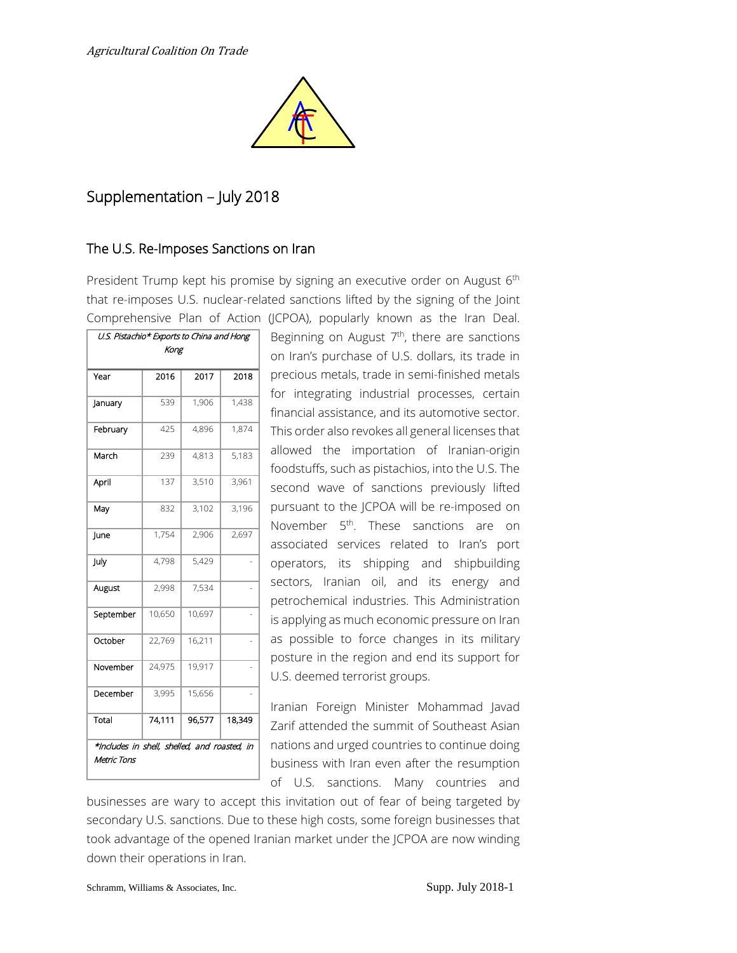

# Supplementation – July 2018

#### The U.S. Re-Imposes Sanctions on Iran

President Trump kept his promise by signing an executive order on August 6<sup>th</sup> that re-imposes U.S. nuclear-related sanctions lifted by the signing of the Joint Comprehensive Plan of Action (JCPOA), popularly known as the Iran Deal.

| U.S. Pistachio* Exports to China and Hong                  |        |        |        |  |
|------------------------------------------------------------|--------|--------|--------|--|
| Kong                                                       |        |        |        |  |
|                                                            |        |        |        |  |
| Year                                                       | 2016   | 2017   | 2018   |  |
| January                                                    | 539    | 1,906  | 1,438  |  |
| February                                                   | 425    | 4.896  | 1,874  |  |
| March                                                      | 239    | 4,813  | 5,183  |  |
| April                                                      | 137    | 3,510  | 3,961  |  |
| May                                                        | 832    | 3,102  | 3,196  |  |
| June                                                       | 1,754  | 2,906  | 2,697  |  |
| July                                                       | 4.798  | 5,429  |        |  |
| August                                                     | 2.998  | 7.534  |        |  |
| September                                                  | 10,650 | 10,697 |        |  |
| October                                                    | 22,769 | 16,211 |        |  |
| November                                                   | 24.975 | 19,917 |        |  |
| December                                                   | 3,995  | 15,656 |        |  |
| Total                                                      | 74.111 | 96,577 | 18.349 |  |
| *Indudes in shell, shelled, and roasted, in<br>Metric Tons |        |        |        |  |

Beginning on August 7<sup>th</sup>, there are sanctions on Iran's purchase of U.S. dollars, its trade in precious metals, trade in semi-finished metals for integrating industrial processes, certain financial assistance, and its automotive sector. This order also revokes all general licenses that allowed the importation of Iranian-origin foodstuffs, such as pistachios, into the U.S. The second wave of sanctions previously lifted pursuant to the JCPOA will be re-imposed on November 5<sup>th</sup>. These sanctions are on associated services related to Iran's port operators, its shipping and shipbuilding sectors, Iranian oil, and its energy and petrochemical industries. This Administration is applying as much economic pressure on Iran as possible to force changes in its military posture in the region and end its support for U.S. deemed terrorist groups.

Iranian Foreign Minister Mohammad Javad Zarif attended the summit of Southeast Asian nations and urged countries to continue doing business with Iran even after the resumption of U.S. sanctions. Many countries and

businesses are wary to accept this invitation out of fear of being targeted by secondary U.S. sanctions. Due to these high costs, some foreign businesses that took advantage of the opened Iranian market under the JCPOA are now winding down their operations in Iran.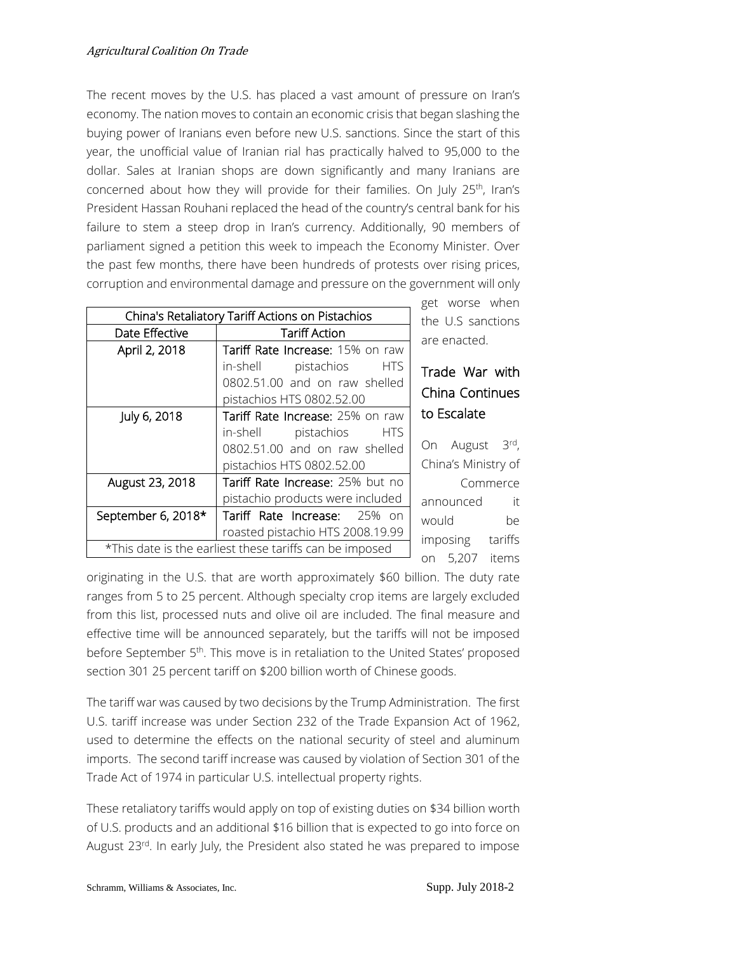The recent moves by the U.S. has placed a vast amount of pressure on Iran's economy. The nation moves to contain an economic crisis that began slashing the buying power of Iranians even before new U.S. sanctions. Since the start of this year, the unofficial value of Iranian rial has practically halved to 95,000 to the dollar. Sales at Iranian shops are down significantly and many Iranians are concerned about how they will provide for their families. On July 25<sup>th</sup>, Iran's President Hassan Rouhani replaced the head of the country's central bank for his failure to stem a steep drop in Iran's currency. Additionally, 90 members of parliament signed a petition this week to impeach the Economy Minister. Over the past few months, there have been hundreds of protests over rising prices, corruption and environmental damage and pressure on the government will only

| China's Retaliatory Tariff Actions on Pistachios        |                                                                                                                                        |  |
|---------------------------------------------------------|----------------------------------------------------------------------------------------------------------------------------------------|--|
| Date Effective                                          | <b>Tariff Action</b>                                                                                                                   |  |
| April 2, 2018                                           | Tariff Rate Increase: 15% on raw<br>in-shell pistachios<br><b>HTS</b><br>0802.51.00 and on raw shelled<br>pistachios HTS 0802.52.00    |  |
| July 6, 2018                                            | Tariff Rate Increase: 25% on raw<br>in-shell<br>pistachios<br><b>HTS</b><br>0802.51.00 and on raw shelled<br>pistachios HTS 0802.52.00 |  |
| August 23, 2018                                         | Tariff Rate Increase: 25% but no<br>pistachio products were included                                                                   |  |
| September 6, 2018*                                      | Tariff Rate Increase: 25% on<br>roasted pistachio HTS 2008.19.99                                                                       |  |
| *This date is the earliest these tariffs can be imposed |                                                                                                                                        |  |

get worse when the U.S sanctions are enacted.

# Trade War with China Continues to Escalate

On August 3rd, China's Ministry of Commerce announced it would be imposing tariffs on 5,207 items

originating in the U.S. that are worth approximately \$60 billion. The duty rate ranges from 5 to 25 percent. Although specialty crop items are largely excluded from this list, processed nuts and olive oil are included. The final measure and effective time will be announced separately, but the tariffs will not be imposed before September 5<sup>th</sup>. This move is in retaliation to the United States' proposed section 301 25 percent tariff on \$200 billion worth of Chinese goods.

The tariff war was caused by two decisions by the Trump Administration. The first U.S. tariff increase was under Section 232 of the Trade Expansion Act of 1962, used to determine the effects on the national security of steel and aluminum imports. The second tariff increase was caused by violation of Section 301 of the Trade Act of 1974 in particular U.S. intellectual property rights.

These retaliatory tariffs would apply on top of existing duties on \$34 billion worth of U.S. products and an additional \$16 billion that is expected to go into force on August 23<sup>rd</sup>. In early July, the President also stated he was prepared to impose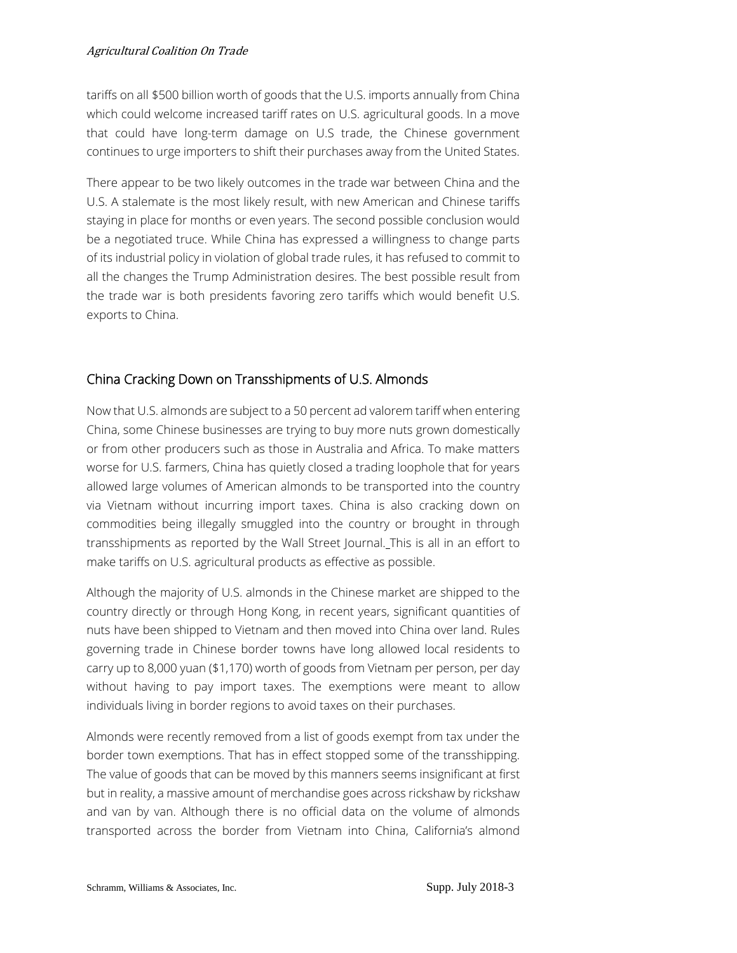tariffs on all \$500 billion worth of goods that the U.S. imports annually from China which could welcome increased tariff rates on U.S. agricultural goods. In a move that could have long-term damage on U.S trade, the Chinese government continues to urge importers to shift their purchases away from the United States.

There appear to be two likely outcomes in the trade war between China and the U.S. A stalemate is the most likely result, with new American and Chinese tariffs staying in place for months or even years. The second possible conclusion would be a negotiated truce. While China has expressed a willingness to change parts of its industrial policy in violation of global trade rules, it has refused to commit to all the changes the Trump Administration desires. The best possible result from the trade war is both presidents favoring zero tariffs which would benefit U.S. exports to China.

# China Cracking Down on Transshipments of U.S. Almonds

Now that U.S. almonds are subject to a 50 percent ad valorem tariff when entering China, some Chinese businesses are trying to buy more nuts grown domestically or from other producers such as those in Australia and Africa. To make matters worse for U.S. farmers, China has quietly closed a trading loophole that for years allowed large volumes of American almonds to be transported into the country via Vietnam without incurring import taxes. China is also cracking down on commodities being illegally smuggled into the country or brought in through transshipments as reported by the Wall Street Journal. This is all in an effort to make tariffs on U.S. agricultural products as effective as possible.

Although the majority of U.S. almonds in the Chinese market are shipped to the country directly or through Hong Kong, in recent years, significant quantities of nuts have been shipped to Vietnam and then moved into China over land. Rules governing trade in Chinese border towns have long allowed local residents to carry up to 8,000 yuan (\$1,170) worth of goods from Vietnam per person, per day without having to pay import taxes. The exemptions were meant to allow individuals living in border regions to avoid taxes on their purchases.

Almonds were recently removed from a list of goods exempt from tax under the border town exemptions. That has in effect stopped some of the transshipping. The value of goods that can be moved by this manners seems insignificant at first but in reality, a massive amount of merchandise goes across rickshaw by rickshaw and van by van. Although there is no official data on the volume of almonds transported across the border from Vietnam into China, California's almond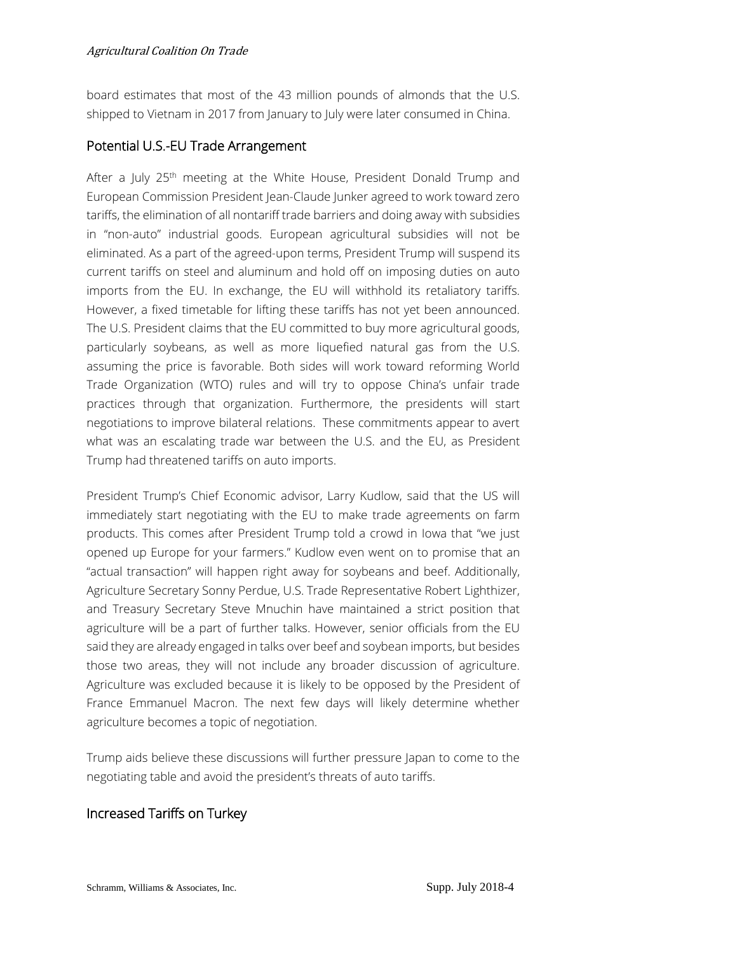board estimates that most of the 43 million pounds of almonds that the U.S. shipped to Vietnam in 2017 from January to July were later consumed in China.

## Potential U.S.-EU Trade Arrangement

After a July 25<sup>th</sup> meeting at the White House, President Donald Trump and European Commission President Jean-Claude Junker agreed to work toward zero tariffs, the elimination of all nontariff trade barriers and doing away with subsidies in "non-auto" industrial goods. European agricultural subsidies will not be eliminated. As a part of the agreed-upon terms, President Trump will suspend its current tariffs on steel and aluminum and hold off on imposing duties on auto imports from the EU. In exchange, the EU will withhold its retaliatory tariffs. However, a fixed timetable for lifting these tariffs has not yet been announced. The U.S. President claims that the EU committed to buy more agricultural goods, particularly soybeans, as well as more liquefied natural gas from the U.S. assuming the price is favorable. Both sides will work toward reforming World Trade Organization (WTO) rules and will try to oppose China's unfair trade practices through that organization. Furthermore, the presidents will start negotiations to improve bilateral relations. These commitments appear to avert what was an escalating trade war between the U.S. and the EU, as President Trump had threatened tariffs on auto imports.

President Trump's Chief Economic advisor, Larry Kudlow, said that the US will immediately start negotiating with the EU to make trade agreements on farm products. This comes after President Trump told a crowd in Iowa that "we just opened up Europe for your farmers." Kudlow even went on to promise that an "actual transaction" will happen right away for soybeans and beef. Additionally, Agriculture Secretary Sonny Perdue, U.S. Trade Representative Robert Lighthizer, and Treasury Secretary Steve Mnuchin have maintained a strict position that agriculture will be a part of further talks. However, senior officials from the EU said they are already engaged in talks over beef and soybean imports, but besides those two areas, they will not include any broader discussion of agriculture. Agriculture was excluded because it is likely to be opposed by the President of France Emmanuel Macron. The next few days will likely determine whether agriculture becomes a topic of negotiation.

Trump aids believe these discussions will further pressure Japan to come to the negotiating table and avoid the president's threats of auto tariffs.

# Increased Tariffs on Turkey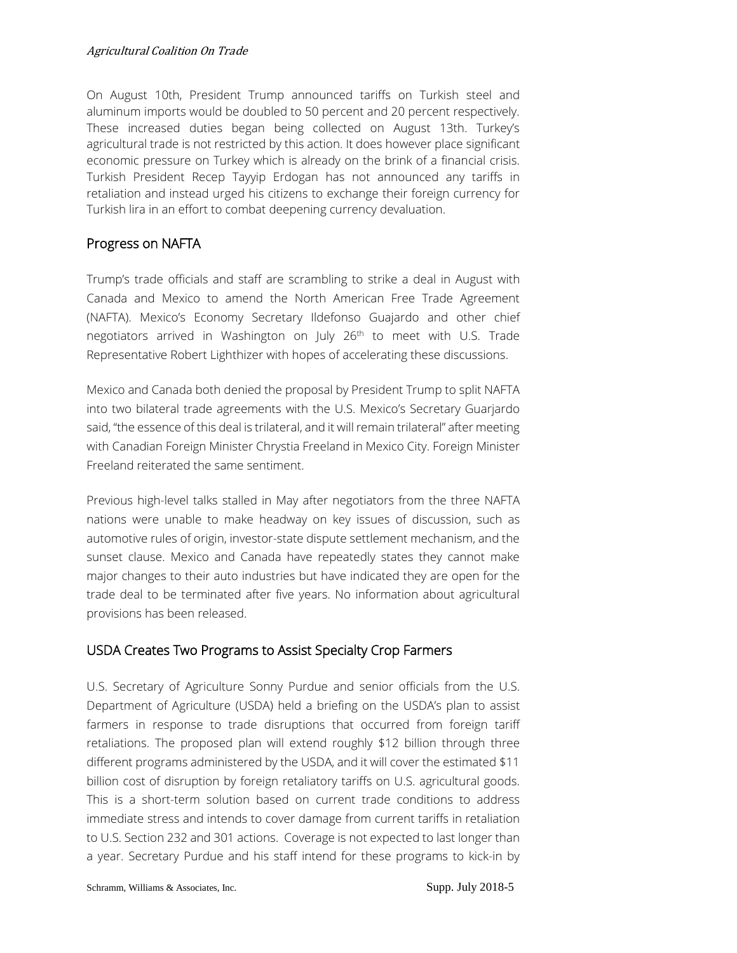#### Agricultural Coalition On Trade

On August 10th, President Trump announced tariffs on Turkish steel and aluminum imports would be doubled to 50 percent and 20 percent respectively. These increased duties began being collected on August 13th. Turkey's agricultural trade is not restricted by this action. It does however place significant economic pressure on Turkey which is already on the brink of a financial crisis. Turkish President Recep Tayyip Erdogan has not announced any tariffs in retaliation and instead urged his citizens to exchange their foreign currency for Turkish lira in an effort to combat deepening currency devaluation.

#### Progress on NAFTA

Trump's trade officials and staff are scrambling to strike a deal in August with Canada and Mexico to amend the North American Free Trade Agreement (NAFTA). Mexico's Economy Secretary Ildefonso Guajardo and other chief negotiators arrived in Washington on July 26<sup>th</sup> to meet with U.S. Trade Representative Robert Lighthizer with hopes of accelerating these discussions.

Mexico and Canada both denied the proposal by President Trump to split NAFTA into two bilateral trade agreements with the U.S. Mexico's Secretary Guarjardo said, "the essence of this deal is trilateral, and it will remain trilateral" after meeting with Canadian Foreign Minister Chrystia Freeland in Mexico City. Foreign Minister Freeland reiterated the same sentiment.

Previous high-level talks stalled in May after negotiators from the three NAFTA nations were unable to make headway on key issues of discussion, such as automotive rules of origin, investor-state dispute settlement mechanism, and the sunset clause. Mexico and Canada have repeatedly states they cannot make major changes to their auto industries but have indicated they are open for the trade deal to be terminated after five years. No information about agricultural provisions has been released.

## USDA Creates Two Programs to Assist Specialty Crop Farmers

U.S. Secretary of Agriculture Sonny Purdue and senior officials from the U.S. Department of Agriculture (USDA) held a briefing on the USDA's plan to assist farmers in response to trade disruptions that occurred from foreign tariff retaliations. The proposed plan will extend roughly \$12 billion through three different programs administered by the USDA, and it will cover the estimated \$11 billion cost of disruption by foreign retaliatory tariffs on U.S. agricultural goods. This is a short-term solution based on current trade conditions to address immediate stress and intends to cover damage from current tariffs in retaliation to U.S. Section 232 and 301 actions. Coverage is not expected to last longer than a year. Secretary Purdue and his staff intend for these programs to kick-in by